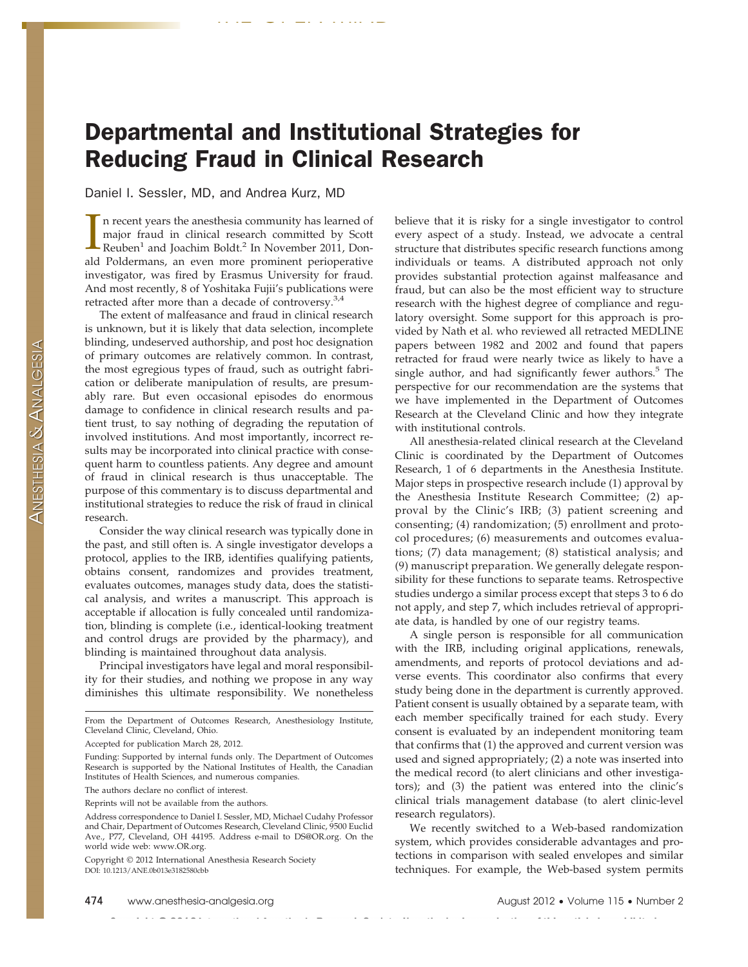## Departmental and Institutional Strategies for Reducing Fraud in Clinical Research

THE OPEN MIND

Daniel I. Sessler, MD, and Andrea Kurz, MD

In recent years the anesthesia community has learned of major fraud in clinical research committed by Scott Reuben<sup>1</sup> and Joachim Boldt.<sup>2</sup> In November 2011, Donn recent years the anesthesia community has learned of major fraud in clinical research committed by Scott ald Poldermans, an even more prominent perioperative investigator, was fired by Erasmus University for fraud. And most recently, 8 of Yoshitaka Fujii's publications were retracted after more than a decade of controversy.<sup>3,4</sup>

The extent of malfeasance and fraud in clinical research is unknown, but it is likely that data selection, incomplete blinding, undeserved authorship, and post hoc designation of primary outcomes are relatively common. In contrast, the most egregious types of fraud, such as outright fabrication or deliberate manipulation of results, are presumably rare. But even occasional episodes do enormous damage to confidence in clinical research results and patient trust, to say nothing of degrading the reputation of involved institutions. And most importantly, incorrect results may be incorporated into clinical practice with consequent harm to countless patients. Any degree and amount of fraud in clinical research is thus unacceptable. The purpose of this commentary is to discuss departmental and institutional strategies to reduce the risk of fraud in clinical research.

Consider the way clinical research was typically done in the past, and still often is. A single investigator develops a protocol, applies to the IRB, identifies qualifying patients, obtains consent, randomizes and provides treatment, evaluates outcomes, manages study data, does the statistical analysis, and writes a manuscript. This approach is acceptable if allocation is fully concealed until randomization, blinding is complete (i.e., identical-looking treatment and control drugs are provided by the pharmacy), and blinding is maintained throughout data analysis.

Principal investigators have legal and moral responsibility for their studies, and nothing we propose in any way diminishes this ultimate responsibility. We nonetheless

 $\sim 10^{-1}$  $\sim 10$  believe that it is risky for a single investigator to control every aspect of a study. Instead, we advocate a central structure that distributes specific research functions among individuals or teams. A distributed approach not only provides substantial protection against malfeasance and fraud, but can also be the most efficient way to structure research with the highest degree of compliance and regulatory oversight. Some support for this approach is provided by Nath et al. who reviewed all retracted MEDLINE papers between 1982 and 2002 and found that papers retracted for fraud were nearly twice as likely to have a single author, and had significantly fewer authors.<sup>5</sup> The perspective for our recommendation are the systems that we have implemented in the Department of Outcomes Research at the Cleveland Clinic and how they integrate with institutional controls.

All anesthesia-related clinical research at the Cleveland Clinic is coordinated by the Department of Outcomes Research, 1 of 6 departments in the Anesthesia Institute. Major steps in prospective research include (1) approval by the Anesthesia Institute Research Committee; (2) approval by the Clinic's IRB; (3) patient screening and consenting; (4) randomization; (5) enrollment and protocol procedures; (6) measurements and outcomes evaluations; (7) data management; (8) statistical analysis; and (9) manuscript preparation. We generally delegate responsibility for these functions to separate teams. Retrospective studies undergo a similar process except that steps 3 to 6 do not apply, and step 7, which includes retrieval of appropriate data, is handled by one of our registry teams.

A single person is responsible for all communication with the IRB, including original applications, renewals, amendments, and reports of protocol deviations and adverse events. This coordinator also confirms that every study being done in the department is currently approved. Patient consent is usually obtained by a separate team, with each member specifically trained for each study. Every consent is evaluated by an independent monitoring team that confirms that (1) the approved and current version was used and signed appropriately; (2) a note was inserted into the medical record (to alert clinicians and other investigators); and (3) the patient was entered into the clinic's clinical trials management database (to alert clinic-level research regulators).

We recently switched to a Web-based randomization system, which provides considerable advantages and protections in comparison with sealed envelopes and similar techniques. For example, the Web-based system permits

From the Department of Outcomes Research, Anesthesiology Institute, Cleveland Clinic, Cleveland, Ohio.

Accepted for publication March 28, 2012.

Funding: Supported by internal funds only. The Department of Outcomes Research is supported by the National Institutes of Health, the Canadian Institutes of Health Sciences, and numerous companies.

The authors declare no conflict of interest.

Reprints will not be available from the authors.

Address correspondence to Daniel I. Sessler, MD, Michael Cudahy Professor and Chair, Department of Outcomes Research, Cleveland Clinic, 9500 Euclid Ave., P77, Cleveland, OH 44195. Address e-mail to DS@OR.org. On the world wide web: www.OR.org.

Copyright © 2012 International Anesthesia Research Society DOI: 10.1213/ANE.0b013e3182580cbb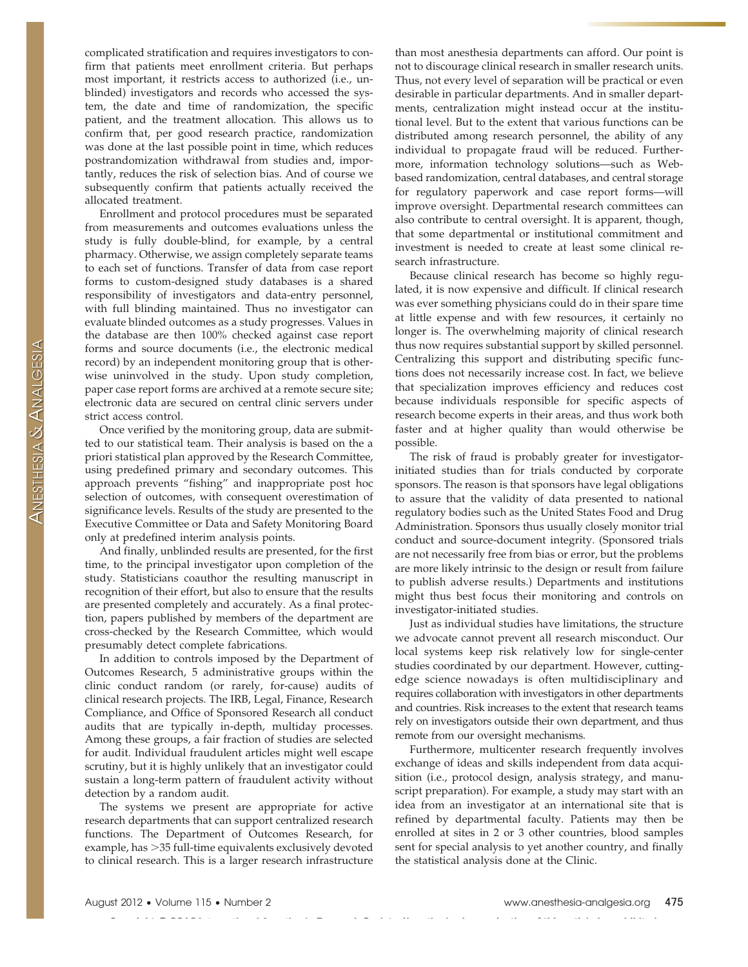complicated stratification and requires investigators to confirm that patients meet enrollment criteria. But perhaps most important, it restricts access to authorized (i.e., unblinded) investigators and records who accessed the system, the date and time of randomization, the specific patient, and the treatment allocation. This allows us to confirm that, per good research practice, randomization was done at the last possible point in time, which reduces postrandomization withdrawal from studies and, importantly, reduces the risk of selection bias. And of course we subsequently confirm that patients actually received the allocated treatment.

Enrollment and protocol procedures must be separated from measurements and outcomes evaluations unless the study is fully double-blind, for example, by a central pharmacy. Otherwise, we assign completely separate teams to each set of functions. Transfer of data from case report forms to custom-designed study databases is a shared responsibility of investigators and data-entry personnel, with full blinding maintained. Thus no investigator can evaluate blinded outcomes as a study progresses. Values in the database are then 100% checked against case report forms and source documents (i.e., the electronic medical record) by an independent monitoring group that is otherwise uninvolved in the study. Upon study completion, paper case report forms are archived at a remote secure site; electronic data are secured on central clinic servers under strict access control.

Once verified by the monitoring group, data are submitted to our statistical team. Their analysis is based on the a priori statistical plan approved by the Research Committee, using predefined primary and secondary outcomes. This approach prevents "fishing" and inappropriate post hoc selection of outcomes, with consequent overestimation of significance levels. Results of the study are presented to the Executive Committee or Data and Safety Monitoring Board only at predefined interim analysis points.

And finally, unblinded results are presented, for the first time, to the principal investigator upon completion of the study. Statisticians coauthor the resulting manuscript in recognition of their effort, but also to ensure that the results are presented completely and accurately. As a final protection, papers published by members of the department are cross-checked by the Research Committee, which would presumably detect complete fabrications.

In addition to controls imposed by the Department of Outcomes Research, 5 administrative groups within the clinic conduct random (or rarely, for-cause) audits of clinical research projects. The IRB, Legal, Finance, Research Compliance, and Office of Sponsored Research all conduct audits that are typically in-depth, multiday processes. Among these groups, a fair fraction of studies are selected for audit. Individual fraudulent articles might well escape scrutiny, but it is highly unlikely that an investigator could sustain a long-term pattern of fraudulent activity without detection by a random audit.

The systems we present are appropriate for active research departments that can support centralized research functions. The Department of Outcomes Research, for example, has >35 full-time equivalents exclusively devoted to clinical research. This is a larger research infrastructure

**Contractor** 

than most anesthesia departments can afford. Our point is not to discourage clinical research in smaller research units. Thus, not every level of separation will be practical or even desirable in particular departments. And in smaller departments, centralization might instead occur at the institutional level. But to the extent that various functions can be distributed among research personnel, the ability of any individual to propagate fraud will be reduced. Furthermore, information technology solutions—such as Webbased randomization, central databases, and central storage for regulatory paperwork and case report forms—will improve oversight. Departmental research committees can also contribute to central oversight. It is apparent, though, that some departmental or institutional commitment and investment is needed to create at least some clinical research infrastructure.

Because clinical research has become so highly regulated, it is now expensive and difficult. If clinical research was ever something physicians could do in their spare time at little expense and with few resources, it certainly no longer is. The overwhelming majority of clinical research thus now requires substantial support by skilled personnel. Centralizing this support and distributing specific functions does not necessarily increase cost. In fact, we believe that specialization improves efficiency and reduces cost because individuals responsible for specific aspects of research become experts in their areas, and thus work both faster and at higher quality than would otherwise be possible.

The risk of fraud is probably greater for investigatorinitiated studies than for trials conducted by corporate sponsors. The reason is that sponsors have legal obligations to assure that the validity of data presented to national regulatory bodies such as the United States Food and Drug Administration. Sponsors thus usually closely monitor trial conduct and source-document integrity. (Sponsored trials are not necessarily free from bias or error, but the problems are more likely intrinsic to the design or result from failure to publish adverse results.) Departments and institutions might thus best focus their monitoring and controls on investigator-initiated studies.

Just as individual studies have limitations, the structure we advocate cannot prevent all research misconduct. Our local systems keep risk relatively low for single-center studies coordinated by our department. However, cuttingedge science nowadays is often multidisciplinary and requires collaboration with investigators in other departments and countries. Risk increases to the extent that research teams rely on investigators outside their own department, and thus remote from our oversight mechanisms.

Furthermore, multicenter research frequently involves exchange of ideas and skills independent from data acquisition (i.e., protocol design, analysis strategy, and manuscript preparation). For example, a study may start with an idea from an investigator at an international site that is refined by departmental faculty. Patients may then be enrolled at sites in 2 or 3 other countries, blood samples sent for special analysis to yet another country, and finally the statistical analysis done at the Clinic.

 $\mathbf{r}$  . The maximum of  $\mathbf{r}$  and  $\mathbf{r}$